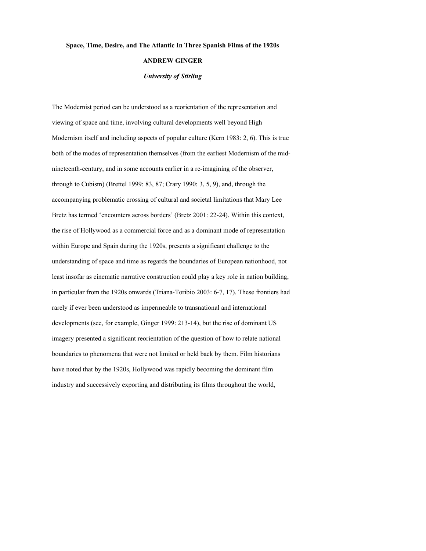## **Space, Time, Desire, and The Atlantic In Three Spanish Films of the 1920s**

## **ANDREW GINGER**

## *University of Stirling*

The Modernist period can be understood as a reorientation of the representation and viewing of space and time, involving cultural developments well beyond High Modernism itself and including aspects of popular culture (Kern 1983: 2, 6). This is true both of the modes of representation themselves (from the earliest Modernism of the midnineteenth-century, and in some accounts earlier in a re-imagining of the observer, through to Cubism) (Brettel 1999: 83, 87; Crary 1990: 3, 5, 9), and, through the accompanying problematic crossing of cultural and societal limitations that Mary Lee Bretz has termed 'encounters across borders' (Bretz 2001: 22-24). Within this context, the rise of Hollywood as a commercial force and as a dominant mode of representation within Europe and Spain during the 1920s, presents a significant challenge to the understanding of space and time as regards the boundaries of European nationhood, not least insofar as cinematic narrative construction could play a key role in nation building, in particular from the 1920s onwards (Triana-Toribio 2003: 6-7, 17). These frontiers had rarely if ever been understood as impermeable to transnational and international developments (see, for example, Ginger 1999: 213-14), but the rise of dominant US imagery presented a significant reorientation of the question of how to relate national boundaries to phenomena that were not limited or held back by them. Film historians have noted that by the 1920s, Hollywood was rapidly becoming the dominant film industry and successively exporting and distributing its films throughout the world,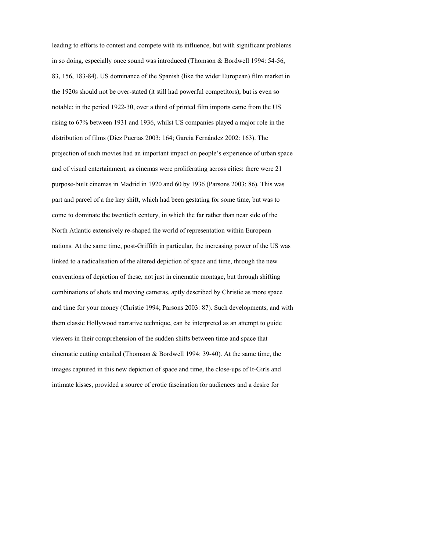leading to efforts to contest and compete with its influence, but with significant problems in so doing, especially once sound was introduced (Thomson & Bordwell 1994: 54-56, 83, 156, 183-84). US dominance of the Spanish (like the wider European) film market in the 1920s should not be over-stated (it still had powerful competitors), but is even so notable: in the period 1922-30, over a third of printed film imports came from the US rising to 67% between 1931 and 1936, whilst US companies played a major role in the distribution of films (Díez Puertas 2003: 164; García Fernández 2002: 163). The projection of such movies had an important impact on people's experience of urban space and of visual entertainment, as cinemas were proliferating across cities: there were 21 purpose-built cinemas in Madrid in 1920 and 60 by 1936 (Parsons 2003: 86). This was part and parcel of a the key shift, which had been gestating for some time, but was to come to dominate the twentieth century, in which the far rather than near side of the North Atlantic extensively re-shaped the world of representation within European nations. At the same time, post-Griffith in particular, the increasing power of the US was linked to a radicalisation of the altered depiction of space and time, through the new conventions of depiction of these, not just in cinematic montage, but through shifting combinations of shots and moving cameras, aptly described by Christie as more space and time for your money (Christie 1994; Parsons 2003: 87). Such developments, and with them classic Hollywood narrative technique, can be interpreted as an attempt to guide viewers in their comprehension of the sudden shifts between time and space that cinematic cutting entailed (Thomson & Bordwell 1994: 39-40). At the same time, the images captured in this new depiction of space and time, the close-ups of It-Girls and intimate kisses, provided a source of erotic fascination for audiences and a desire for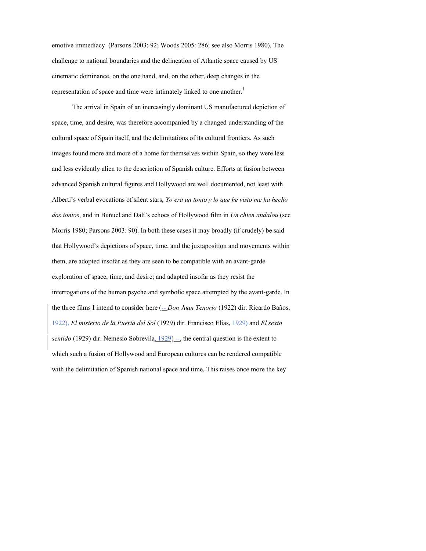emotive immediacy (Parsons 2003: 92; Woods 2005: 286; see also Morris 1980). The challenge to national boundaries and the delineation of Atlantic space caused by US cinematic dominance, on the one hand, and, on the other, deep changes in the representation of space and time were intimately linked to one another.<sup>1</sup>

The arrival in Spain of an increasingly dominant US manufactured depiction of space, time, and desire, was therefore accompanied by a changed understanding of the cultural space of Spain itself, and the delimitations of its cultural frontiers. As such images found more and more of a home for themselves within Spain, so they were less and less evidently alien to the description of Spanish culture. Efforts at fusion between advanced Spanish cultural figures and Hollywood are well documented, not least with Alberti's verbal evocations of silent stars, *Yo era un tonto y lo que he visto me ha hecho dos tontos*, and in Buñuel and Dalí's echoes of Hollywood film in *Un chien andalou* (see Morris 1980; Parsons 2003: 90). In both these cases it may broadly (if crudely) be said that Hollywood's depictions of space, time, and the juxtaposition and movements within them, are adopted insofar as they are seen to be compatible with an avant-garde exploration of space, time, and desire; and adapted insofar as they resist the interrogations of the human psyche and symbolic space attempted by the avant-garde. In the three films I intend to consider here (-- *Don Juan Tenorio* (1922) dir. Ricardo Baños, 1922), *El misterio de la Puerta del Sol* (1929) dir. Francisco Elías, 1929) and *El sexto sentido* (1929) dir. Nemesio Sobrevila, 1929) --, the central question is the extent to which such a fusion of Hollywood and European cultures can be rendered compatible with the delimitation of Spanish national space and time. This raises once more the key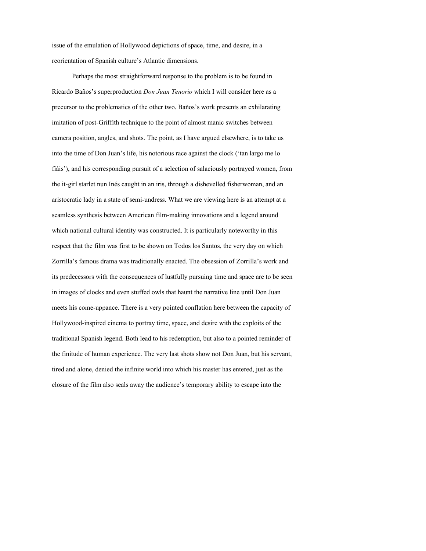issue of the emulation of Hollywood depictions of space, time, and desire, in a reorientation of Spanish culture's Atlantic dimensions.

Perhaps the most straightforward response to the problem is to be found in Ricardo Baños's superproduction *Don Juan Tenorio* which I will consider here as a precursor to the problematics of the other two. Baños's work presents an exhilarating imitation of post-Griffith technique to the point of almost manic switches between camera position, angles, and shots. The point, as I have argued elsewhere, is to take us into the time of Don Juan's life, his notorious race against the clock ('tan largo me lo fiáis'), and his corresponding pursuit of a selection of salaciously portrayed women, from the it-girl starlet nun Inés caught in an iris, through a dishevelled fisherwoman, and an aristocratic lady in a state of semi-undress. What we are viewing here is an attempt at a seamless synthesis between American film-making innovations and a legend around which national cultural identity was constructed. It is particularly noteworthy in this respect that the film was first to be shown on Todos los Santos, the very day on which Zorrilla's famous drama was traditionally enacted. The obsession of Zorrilla's work and its predecessors with the consequences of lustfully pursuing time and space are to be seen in images of clocks and even stuffed owls that haunt the narrative line until Don Juan meets his come-uppance. There is a very pointed conflation here between the capacity of Hollywood-inspired cinema to portray time, space, and desire with the exploits of the traditional Spanish legend. Both lead to his redemption, but also to a pointed reminder of the finitude of human experience. The very last shots show not Don Juan, but his servant, tired and alone, denied the infinite world into which his master has entered, just as the closure of the film also seals away the audience's temporary ability to escape into the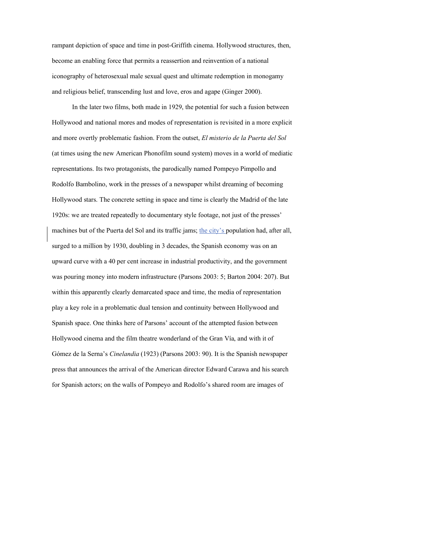rampant depiction of space and time in post-Griffith cinema. Hollywood structures, then, become an enabling force that permits a reassertion and reinvention of a national iconography of heterosexual male sexual quest and ultimate redemption in monogamy and religious belief, transcending lust and love, eros and agape (Ginger 2000).

In the later two films, both made in 1929, the potential for such a fusion between Hollywood and national mores and modes of representation is revisited in a more explicit and more overtly problematic fashion. From the outset, *El misterio de la Puerta del Sol* (at times using the new American Phonofilm sound system) moves in a world of mediatic representations. Its two protagonists, the parodically named Pompeyo Pimpollo and Rodolfo Bambolino, work in the presses of a newspaper whilst dreaming of becoming Hollywood stars. The concrete setting in space and time is clearly the Madrid of the late 1920s: we are treated repeatedly to documentary style footage, not just of the presses' machines but of the Puerta del Sol and its traffic jams; the city's population had, after all, surged to a million by 1930, doubling in 3 decades, the Spanish economy was on an upward curve with a 40 per cent increase in industrial productivity, and the government was pouring money into modern infrastructure (Parsons 2003: 5; Barton 2004: 207). But within this apparently clearly demarcated space and time, the media of representation play a key role in a problematic dual tension and continuity between Hollywood and Spanish space. One thinks here of Parsons' account of the attempted fusion between Hollywood cinema and the film theatre wonderland of the Gran Vía, and with it of Gómez de la Serna's *Cinelandia* (1923) (Parsons 2003: 90). It is the Spanish newspaper press that announces the arrival of the American director Edward Carawa and his search for Spanish actors; on the walls of Pompeyo and Rodolfo's shared room are images of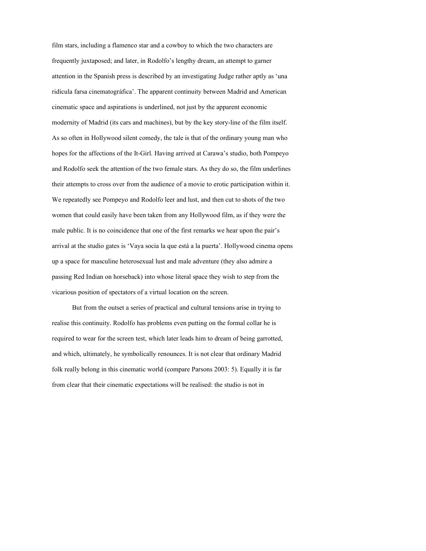film stars, including a flamenco star and a cowboy to which the two characters are frequently juxtaposed; and later, in Rodolfo's lengthy dream, an attempt to garner attention in the Spanish press is described by an investigating Judge rather aptly as 'una ridícula farsa cinematográfica'. The apparent continuity between Madrid and American cinematic space and aspirations is underlined, not just by the apparent economic modernity of Madrid (its cars and machines), but by the key story-line of the film itself. As so often in Hollywood silent comedy, the tale is that of the ordinary young man who hopes for the affections of the It-Girl. Having arrived at Carawa's studio, both Pompeyo and Rodolfo seek the attention of the two female stars. As they do so, the film underlines their attempts to cross over from the audience of a movie to erotic participation within it. We repeatedly see Pompeyo and Rodolfo leer and lust, and then cut to shots of the two women that could easily have been taken from any Hollywood film, as if they were the male public. It is no coincidence that one of the first remarks we hear upon the pair's arrival at the studio gates is 'Vaya socia la que está a la puerta'. Hollywood cinema opens up a space for masculine heterosexual lust and male adventure (they also admire a passing Red Indian on horseback) into whose literal space they wish to step from the vicarious position of spectators of a virtual location on the screen.

But from the outset a series of practical and cultural tensions arise in trying to realise this continuity. Rodolfo has problems even putting on the formal collar he is required to wear for the screen test, which later leads him to dream of being garrotted, and which, ultimately, he symbolically renounces. It is not clear that ordinary Madrid folk really belong in this cinematic world (compare Parsons 2003: 5). Equally it is far from clear that their cinematic expectations will be realised: the studio is not in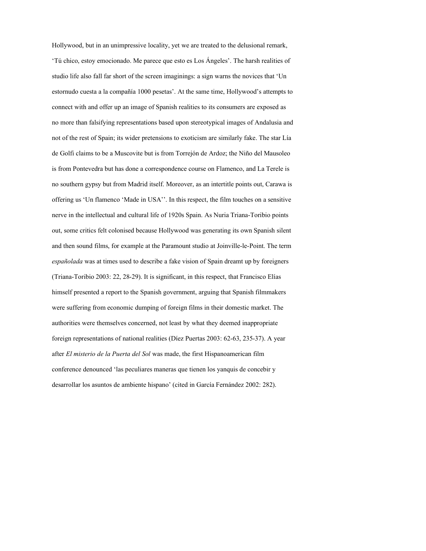Hollywood, but in an unimpressive locality, yet we are treated to the delusional remark, 'Tú chico, estoy emocionado. Me parece que esto es Los Ángeles'. The harsh realities of studio life also fall far short of the screen imaginings: a sign warns the novices that 'Un estornudo cuesta a la compañía 1000 pesetas'. At the same time, Hollywood's attempts to connect with and offer up an image of Spanish realities to its consumers are exposed as no more than falsifying representations based upon stereotypical images of Andalusia and not of the rest of Spain; its wider pretensions to exoticism are similarly fake. The star Lía de Golfi claims to be a Muscovite but is from Torrejón de Ardoz; the Niño del Mausoleo is from Pontevedra but has done a correspondence course on Flamenco, and La Terele is no southern gypsy but from Madrid itself. Moreover, as an intertitle points out, Carawa is offering us 'Un flamenco 'Made in USA''. In this respect, the film touches on a sensitive nerve in the intellectual and cultural life of 1920s Spain. As Nuria Triana-Toribio points out, some critics felt colonised because Hollywood was generating its own Spanish silent and then sound films, for example at the Paramount studio at Joinville-le-Point. The term *españolada* was at times used to describe a fake vision of Spain dreamt up by foreigners (Triana-Toribio 2003: 22, 28-29). It is significant, in this respect, that Francisco Elías himself presented a report to the Spanish government, arguing that Spanish filmmakers were suffering from economic dumping of foreign films in their domestic market. The authorities were themselves concerned, not least by what they deemed inappropriate foreign representations of national realities (Díez Puertas 2003: 62-63, 235-37). A year after *El misterio de la Puerta del Sol* was made, the first Hispanoamerican film conference denounced 'las peculiares maneras que tienen los yanquis de concebir y desarrollar los asuntos de ambiente hispano' (cited in García Fernández 2002: 282).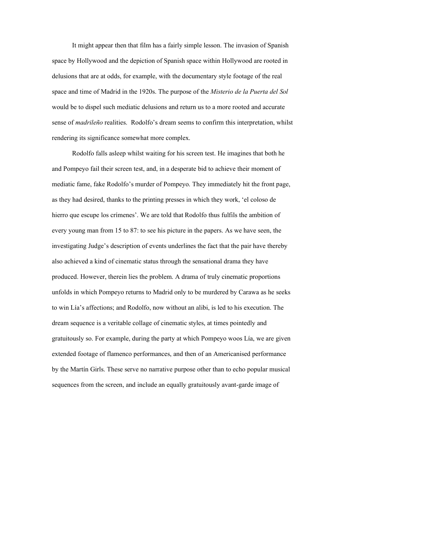It might appear then that film has a fairly simple lesson. The invasion of Spanish space by Hollywood and the depiction of Spanish space within Hollywood are rooted in delusions that are at odds, for example, with the documentary style footage of the real space and time of Madrid in the 1920s. The purpose of the *Misterio de la Puerta del Sol* would be to dispel such mediatic delusions and return us to a more rooted and accurate sense of *madrileño* realities. Rodolfo's dream seems to confirm this interpretation, whilst rendering its significance somewhat more complex.

Rodolfo falls asleep whilst waiting for his screen test. He imagines that both he and Pompeyo fail their screen test, and, in a desperate bid to achieve their moment of mediatic fame, fake Rodolfo's murder of Pompeyo. They immediately hit the front page, as they had desired, thanks to the printing presses in which they work, 'el coloso de hierro que escupe los crímenes'. We are told that Rodolfo thus fulfils the ambition of every young man from 15 to 87: to see his picture in the papers. As we have seen, the investigating Judge's description of events underlines the fact that the pair have thereby also achieved a kind of cinematic status through the sensational drama they have produced. However, therein lies the problem. A drama of truly cinematic proportions unfolds in which Pompeyo returns to Madrid only to be murdered by Carawa as he seeks to win Lía's affections; and Rodolfo, now without an alibi, is led to his execution. The dream sequence is a veritable collage of cinematic styles, at times pointedly and gratuitously so. For example, during the party at which Pompeyo woos Lía, we are given extended footage of flamenco performances, and then of an Americanised performance by the Martín Girls. These serve no narrative purpose other than to echo popular musical sequences from the screen, and include an equally gratuitously avant-garde image of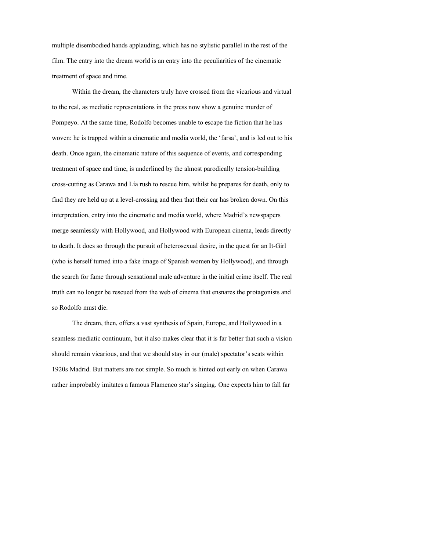multiple disembodied hands applauding, which has no stylistic parallel in the rest of the film. The entry into the dream world is an entry into the peculiarities of the cinematic treatment of space and time.

Within the dream, the characters truly have crossed from the vicarious and virtual to the real, as mediatic representations in the press now show a genuine murder of Pompeyo. At the same time, Rodolfo becomes unable to escape the fiction that he has woven: he is trapped within a cinematic and media world, the 'farsa', and is led out to his death. Once again, the cinematic nature of this sequence of events, and corresponding treatment of space and time, is underlined by the almost parodically tension-building cross-cutting as Carawa and Lía rush to rescue him, whilst he prepares for death, only to find they are held up at a level-crossing and then that their car has broken down. On this interpretation, entry into the cinematic and media world, where Madrid's newspapers merge seamlessly with Hollywood, and Hollywood with European cinema, leads directly to death. It does so through the pursuit of heterosexual desire, in the quest for an It-Girl (who is herself turned into a fake image of Spanish women by Hollywood), and through the search for fame through sensational male adventure in the initial crime itself. The real truth can no longer be rescued from the web of cinema that ensnares the protagonists and so Rodolfo must die.

The dream, then, offers a vast synthesis of Spain, Europe, and Hollywood in a seamless mediatic continuum, but it also makes clear that it is far better that such a vision should remain vicarious, and that we should stay in our (male) spectator's seats within 1920s Madrid. But matters are not simple. So much is hinted out early on when Carawa rather improbably imitates a famous Flamenco star's singing. One expects him to fall far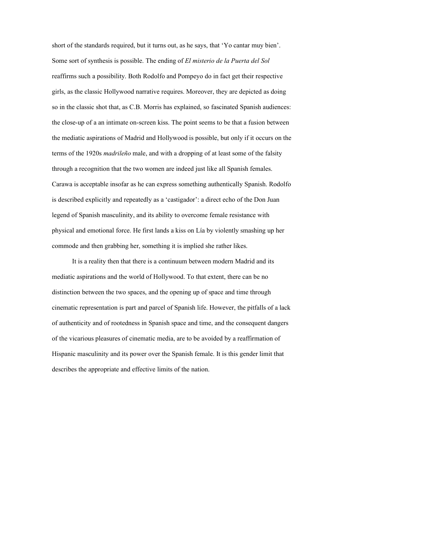short of the standards required, but it turns out, as he says, that 'Yo cantar muy bien'. Some sort of synthesis is possible. The ending of *El misterio de la Puerta del Sol* reaffirms such a possibility. Both Rodolfo and Pompeyo do in fact get their respective girls, as the classic Hollywood narrative requires. Moreover, they are depicted as doing so in the classic shot that, as C.B. Morris has explained, so fascinated Spanish audiences: the close-up of a an intimate on-screen kiss. The point seems to be that a fusion between the mediatic aspirations of Madrid and Hollywood is possible, but only if it occurs on the terms of the 1920s *madrileño* male, and with a dropping of at least some of the falsity through a recognition that the two women are indeed just like all Spanish females. Carawa is acceptable insofar as he can express something authentically Spanish. Rodolfo is described explicitly and repeatedly as a 'castigador': a direct echo of the Don Juan legend of Spanish masculinity, and its ability to overcome female resistance with physical and emotional force. He first lands a kiss on Lía by violently smashing up her commode and then grabbing her, something it is implied she rather likes.

It is a reality then that there is a continuum between modern Madrid and its mediatic aspirations and the world of Hollywood. To that extent, there can be no distinction between the two spaces, and the opening up of space and time through cinematic representation is part and parcel of Spanish life. However, the pitfalls of a lack of authenticity and of rootedness in Spanish space and time, and the consequent dangers of the vicarious pleasures of cinematic media, are to be avoided by a reaffirmation of Hispanic masculinity and its power over the Spanish female. It is this gender limit that describes the appropriate and effective limits of the nation.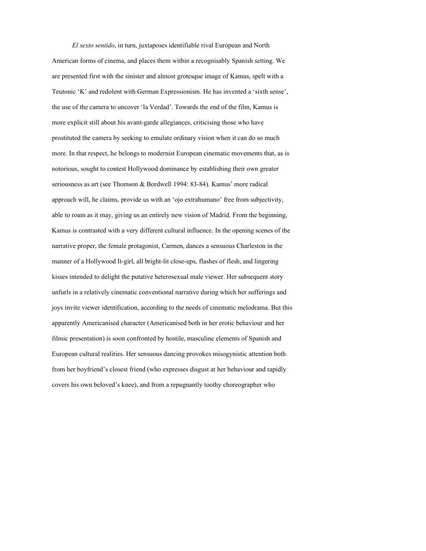*El sexto sentido*, in turn, juxtaposes identifiable rival European and North American forms of cinema, and places them within a recognisably Spanish setting. We are presented first with the sinister and almost grotesque image of Kamus, spelt with a Teutonic 'K' and redolent with German Expressionism. He has invented a 'sixth sense', the use of the camera to uncover 'la Verdad'. Towards the end of the film, Kamus is more explicit still about his avant-garde allegiances, criticising those who have prostituted the camera by seeking to emulate ordinary vision when it can do so much more. In that respect, he belongs to modernist European cinematic movements that, as is notorious, sought to contest Hollywood dominance by establishing their own greater seriousness as art (see Thomson & Bordwell 1994: 83-84). Kamus' more radical approach will, he claims, provide us with an 'ojo extrahumano' free from subjectivity, able to roam as it may, giving us an entirely new vision of Madrid. From the beginning, Kamus is contrasted with a very different cultural influence. In the opening scenes of the narrative proper, the female protagonist, Carmen, dances a sensuous Charleston in the manner of a Hollywood It-girl, all bright-lit close-ups, flashes of flesh, and lingering kisses intended to delight the putative heterosexual male viewer. Her subsequent story unfurls in a relatively cinematic conventional narrative during which her sufferings and joys invite viewer identification, according to the needs of cinematic melodrama. But this apparently Americanised character (Americanised both in her erotic behaviour and her filmic presentation) is soon confronted by hostile, masculine elements of Spanish and European cultural realities. Her sensuous dancing provokes misogynistic attention both from her boyfriend's closest friend (who expresses disgust at her behaviour and rapidly covers his own beloved's knee), and from a repugnantly toothy choreographer who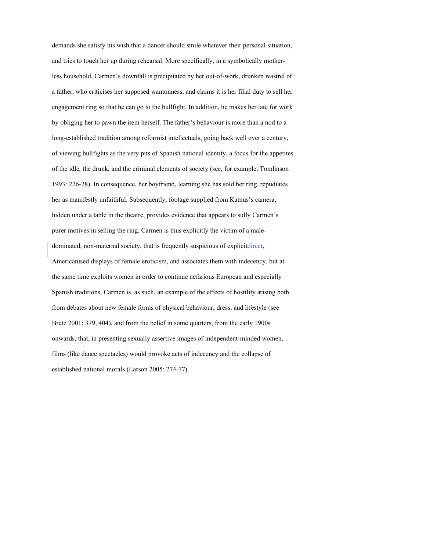demands she satisfy his wish that a dancer should smile whatever their personal situation, and tries to touch her up during rehearsal. More specifically, in a symbolically motherless household, Carmen's downfall is precipitated by her out-of-work, drunken wastrel of a father, who criticises her supposed wantonness, and claims it is her filial duty to sell her engagement ring so that he can go to the bullfight. In addition, he makes her late for work by obliging her to pawn the item herself. The father's behaviour is more than a nod to a long-established tradition among reformist intellectuals, going back well over a century, of viewing bullfights as the very pits of Spanish national identity, a focus for the appetites of the idle, the drunk, and the criminal elements of society (see, for example, Tomlinson 1993: 226-28). In consequence, her boyfriend, learning she has sold her ring, repudiates her as manifestly unfaithful. Subsequently, footage supplied from Kamus's camera, hidden under a table in the theatre, provides evidence that appears to sully Carmen's purer motives in selling the ring. Carmen is thus explicitly the victim of a maledominated, non-maternal society, that is frequently suspicious of explicitdirect,

Americanised displays of female eroticism, and associates them with indecency, but at the same time exploits women in order to continue nefarious European and especially Spanish traditions. Carmen is, as such, an example of the effects of hostility arising both from debates about new female forms of physical behaviour, dress, and lifestyle (see Bretz 2001: 379, 404), and from the belief in some quarters, from the early 1900s onwards, that, in presenting sexually assertive images of independent-minded women, films (like dance spectacles) would provoke acts of indecency and the collapse of established national morals (Larson 2005: 274-77).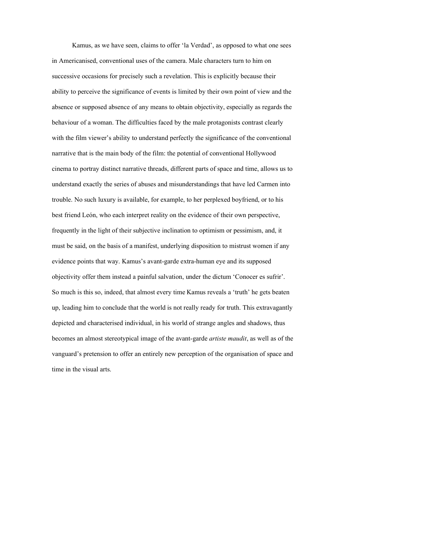Kamus, as we have seen, claims to offer 'la Verdad', as opposed to what one sees in Americanised, conventional uses of the camera. Male characters turn to him on successive occasions for precisely such a revelation. This is explicitly because their ability to perceive the significance of events is limited by their own point of view and the absence or supposed absence of any means to obtain objectivity, especially as regards the behaviour of a woman. The difficulties faced by the male protagonists contrast clearly with the film viewer's ability to understand perfectly the significance of the conventional narrative that is the main body of the film: the potential of conventional Hollywood cinema to portray distinct narrative threads, different parts of space and time, allows us to understand exactly the series of abuses and misunderstandings that have led Carmen into trouble. No such luxury is available, for example, to her perplexed boyfriend, or to his best friend León, who each interpret reality on the evidence of their own perspective, frequently in the light of their subjective inclination to optimism or pessimism, and, it must be said, on the basis of a manifest, underlying disposition to mistrust women if any evidence points that way. Kamus's avant-garde extra-human eye and its supposed objectivity offer them instead a painful salvation, under the dictum 'Conocer es sufrir'. So much is this so, indeed, that almost every time Kamus reveals a 'truth' he gets beaten up, leading him to conclude that the world is not really ready for truth. This extravagantly depicted and characterised individual, in his world of strange angles and shadows, thus becomes an almost stereotypical image of the avant-garde *artiste maudit*, as well as of the vanguard's pretension to offer an entirely new perception of the organisation of space and time in the visual arts.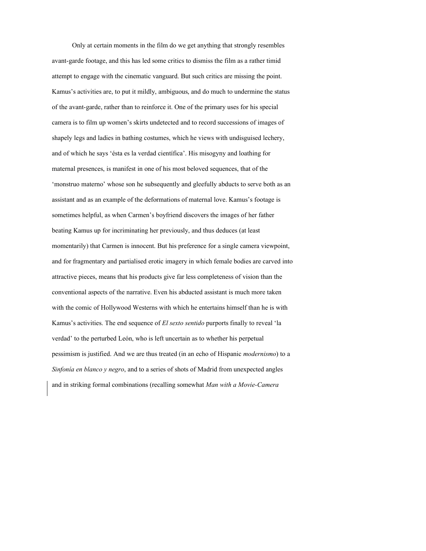Only at certain moments in the film do we get anything that strongly resembles avant-garde footage, and this has led some critics to dismiss the film as a rather timid attempt to engage with the cinematic vanguard. But such critics are missing the point. Kamus's activities are, to put it mildly, ambiguous, and do much to undermine the status of the avant-garde, rather than to reinforce it. One of the primary uses for his special camera is to film up women's skirts undetected and to record successions of images of shapely legs and ladies in bathing costumes, which he views with undisguised lechery, and of which he says 'ésta es la verdad científica'. His misogyny and loathing for maternal presences, is manifest in one of his most beloved sequences, that of the 'monstruo materno' whose son he subsequently and gleefully abducts to serve both as an assistant and as an example of the deformations of maternal love. Kamus's footage is sometimes helpful, as when Carmen's boyfriend discovers the images of her father beating Kamus up for incriminating her previously, and thus deduces (at least momentarily) that Carmen is innocent. But his preference for a single camera viewpoint, and for fragmentary and partialised erotic imagery in which female bodies are carved into attractive pieces, means that his products give far less completeness of vision than the conventional aspects of the narrative. Even his abducted assistant is much more taken with the comic of Hollywood Westerns with which he entertains himself than he is with Kamus's activities. The end sequence of *El sexto sentido* purports finally to reveal 'la verdad' to the perturbed León, who is left uncertain as to whether his perpetual pessimism is justified. And we are thus treated (in an echo of Hispanic *modernismo*) to a *Sinfonía en blanco y negro*, and to a series of shots of Madrid from unexpected angles and in striking formal combinations (recalling somewhat *Man with a Movie-Camera*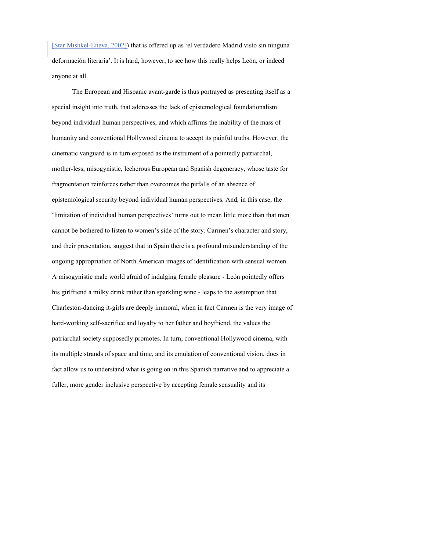[Star Mishkel-Eneva, 2002]) that is offered up as 'el verdadero Madrid visto sin ninguna deformación literaria'. It is hard, however, to see how this really helps León, or indeed anyone at all.

The European and Hispanic avant-garde is thus portrayed as presenting itself as a special insight into truth, that addresses the lack of epistemological foundationalism beyond individual human perspectives, and which affirms the inability of the mass of humanity and conventional Hollywood cinema to accept its painful truths. However, the cinematic vanguard is in turn exposed as the instrument of a pointedly patriarchal, mother-less, misogynistic, lecherous European and Spanish degeneracy, whose taste for fragmentation reinforces rather than overcomes the pitfalls of an absence of epistemological security beyond individual human perspectives. And, in this case, the 'limitation of individual human perspectives' turns out to mean little more than that men cannot be bothered to listen to women's side of the story. Carmen's character and story, and their presentation, suggest that in Spain there is a profound misunderstanding of the ongoing appropriation of North American images of identification with sensual women. A misogynistic male world afraid of indulging female pleasure - León pointedly offers his girlfriend a milky drink rather than sparkling wine - leaps to the assumption that Charleston-dancing it-girls are deeply immoral, when in fact Carmen is the very image of hard-working self-sacrifice and loyalty to her father and boyfriend, the values the patriarchal society supposedly promotes. In turn, conventional Hollywood cinema, with its multiple strands of space and time, and its emulation of conventional vision, does in fact allow us to understand what is going on in this Spanish narrative and to appreciate a fuller, more gender inclusive perspective by accepting female sensuality and its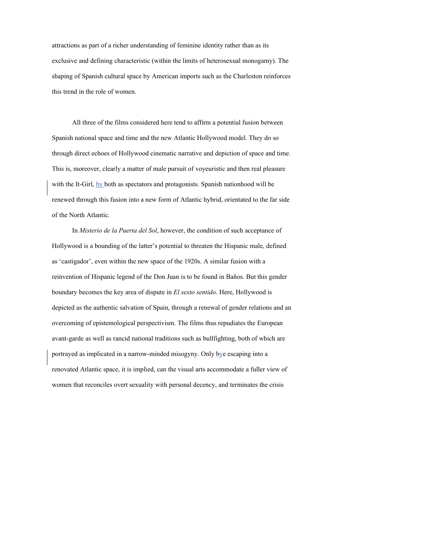attractions as part of a richer understanding of feminine identity rather than as its exclusive and defining characteristic (within the limits of heterosexual monogamy). The shaping of Spanish cultural space by American imports such as the Charleston reinforces this trend in the role of women.

All three of the films considered here tend to affirm a potential fusion between Spanish national space and time and the new Atlantic Hollywood model. They do so through direct echoes of Hollywood cinematic narrative and depiction of space and time. This is, moreover, clearly a matter of male pursuit of voyeuristic and then real pleasure with the It-Girl, by both as spectators and protagonists. Spanish nationhood will be renewed through this fusion into a new form of Atlantic hybrid, orientated to the far side of the North Atlantic.

In *Misterio de la Puerta del Sol*, however, the condition of such acceptance of Hollywood is a bounding of the latter's potential to threaten the Hispanic male, defined as 'castigador', even within the new space of the 1920s. A similar fusion with a reinvention of Hispanic legend of the Don Juan is to be found in Baños. But this gender boundary becomes the key area of dispute in *El sexto sentido*. Here, Hollywood is depicted as the authentic salvation of Spain, through a renewal of gender relations and an overcoming of epistemological perspectivism. The films thus repudiates the European avant-garde as well as rancid national traditions such as bullfighting, both of which are portrayed as implicated in a narrow-minded misogyny. Only bye escaping into a renovated Atlantic space, it is implied, can the visual arts accommodate a fuller view of women that reconciles overt sexuality with personal decency, and terminates the crisis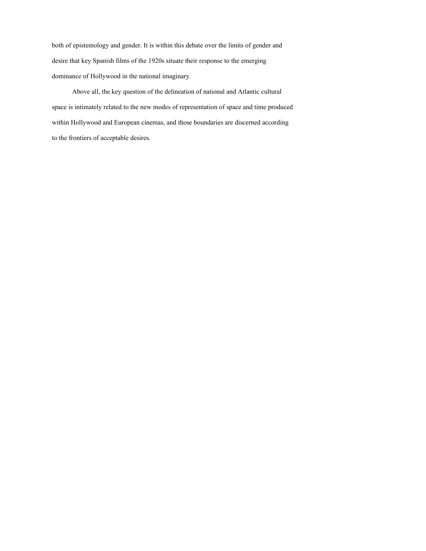both of epistemology and gender. It is within this debate over the limits of gender and desire that key Spanish films of the 1920s situate their response to the emerging dominance of Hollywood in the national imaginary.

Above all, the key question of the delineation of national and Atlantic cultural space is intimately related to the new modes of representation of space and time produced within Hollywood and European cinemas, and those boundaries are discerned according to the frontiers of acceptable desires.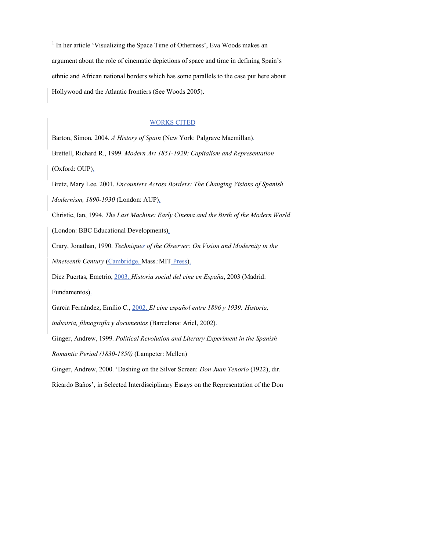<sup>1</sup> In her article 'Visualizing the Space Time of Otherness', Eva Woods makes an argument about the role of cinematic depictions of space and time in defining Spain's ethnic and African national borders which has some parallels to the case put here about Hollywood and the Atlantic frontiers (See Woods 2005).

## WORKS CITED

Barton, Simon, 2004. *A History of Spain* (New York: Palgrave Macmillan). Brettell, Richard R., 1999. *Modern Art 1851-1929: Capitalism and Representation* (Oxford: OUP). Bretz, Mary Lee, 2001. *Encounters Across Borders: The Changing Visions of Spanish Modernism, 1890-1930* (London: AUP). Christie, Ian, 1994. *The Last Machine: Early Cinema and the Birth of the Modern World* (London: BBC Educational Developments). Crary, Jonathan, 1990. *Techniques of the Observer: On Vision and Modernity in the Nineteenth Century* (Cambridge, Mass.:MIT Press). Díez Puertas, Emetrio, 2003. *Historia social del cine en España*, 2003 (Madrid: Fundamentos). García Fernández, Emilio C., 2002. *El cine español entre 1896 y 1939: Historia, industria, filmografía y documentos* (Barcelona: Ariel, 2002). Ginger, Andrew, 1999. *Political Revolution and Literary Experiment in the Spanish Romantic Period (1830-1850)* (Lampeter: Mellen)

Ginger, Andrew, 2000. 'Dashing on the Silver Screen: *Don Juan Tenorio* (1922), dir.

Ricardo Baños', in Selected Interdisciplinary Essays on the Representation of the Don